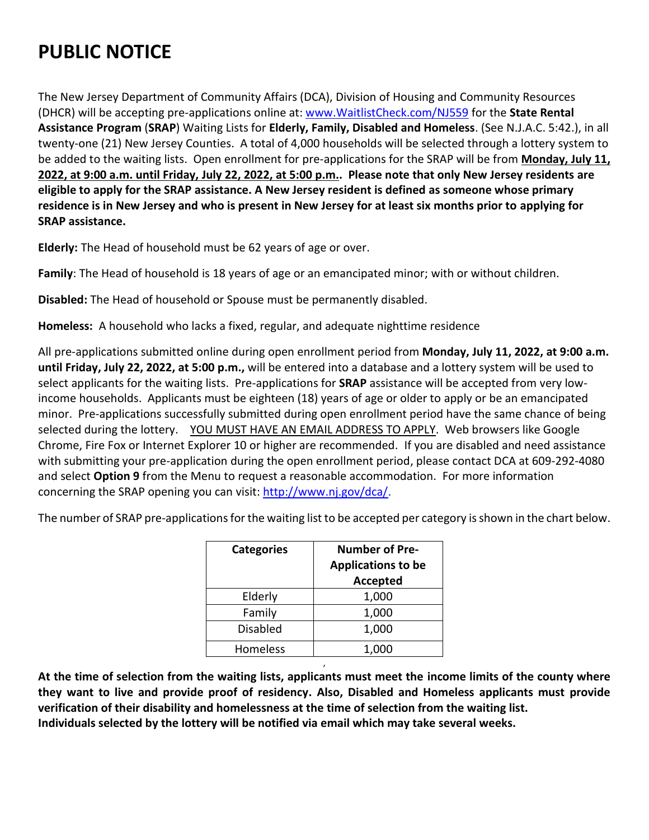## **PUBLIC NOTICE**

The New Jersey Department of Community Affairs (DCA), Division of Housing and Community Resources (DHCR) will be accepting pre-applications online at: [www.WaitlistCheck.com/NJ559](http://www.waitlistcheck.com/NJ559) for the **State Rental Assistance Program** (**SRAP**) Waiting Lists for **Elderly, Family, Disabled and Homeless**. (See N.J.A.C. 5:42.), in all twenty-one (21) New Jersey Counties. A total of 4,000 households will be selected through a lottery system to be added to the waiting lists. Open enrollment for pre-applications for the SRAP will be from **Monday, July 11, 2022, at 9:00 a.m. until Friday, July 22, 2022, at 5:00 p.m.. Please note that only New Jersey residents are eligible to apply for the SRAP assistance. A New Jersey resident is defined as someone whose primary residence is in New Jersey and who is present in New Jersey for at least six months prior to applying for SRAP assistance.**

**Elderly:** The Head of household must be 62 years of age or over.

**Family**: The Head of household is 18 years of age or an emancipated minor; with or without children.

**Disabled:** The Head of household or Spouse must be permanently disabled.

**Homeless:** A household who lacks a fixed, regular, and adequate nighttime residence

All pre-applications submitted online during open enrollment period from **Monday, July 11, 2022, at 9:00 a.m. until Friday, July 22, 2022, at 5:00 p.m.,** will be entered into a database and a lottery system will be used to select applicants for the waiting lists. Pre-applications for **SRAP** assistance will be accepted from very lowincome households. Applicants must be eighteen (18) years of age or older to apply or be an emancipated minor. Pre-applications successfully submitted during open enrollment period have the same chance of being selected during the lottery. YOU MUST HAVE AN EMAIL ADDRESS TO APPLY. Web browsers like Google Chrome, Fire Fox or Internet Explorer 10 or higher are recommended. If you are disabled and need assistance with submitting your pre-application during the open enrollment period, please contact DCA at 609-292-4080 and select **Option 9** from the Menu to request a reasonable accommodation. For more information concerning the SRAP opening you can visit: [http://www.nj.gov/dca/.](http://www.nj.gov/dca/)

The number of SRAP pre-applications for the waiting list to be accepted per category is shown in the chart below.

| <b>Categories</b> | <b>Number of Pre-</b><br><b>Applications to be</b><br><b>Accepted</b> |  |  |  |
|-------------------|-----------------------------------------------------------------------|--|--|--|
| Elderly           | 1,000                                                                 |  |  |  |
| Family            | 1,000                                                                 |  |  |  |
| <b>Disabled</b>   | 1,000                                                                 |  |  |  |
| Homeless          | 1.000                                                                 |  |  |  |

**At the time of selection from the waiting lists, applicants must meet the income limits of the county where they want to live and provide proof of residency. Also, Disabled and Homeless applicants must provide verification of their disability and homelessness at the time of selection from the waiting list. Individuals selected by the lottery will be notified via email which may take several weeks.** 

,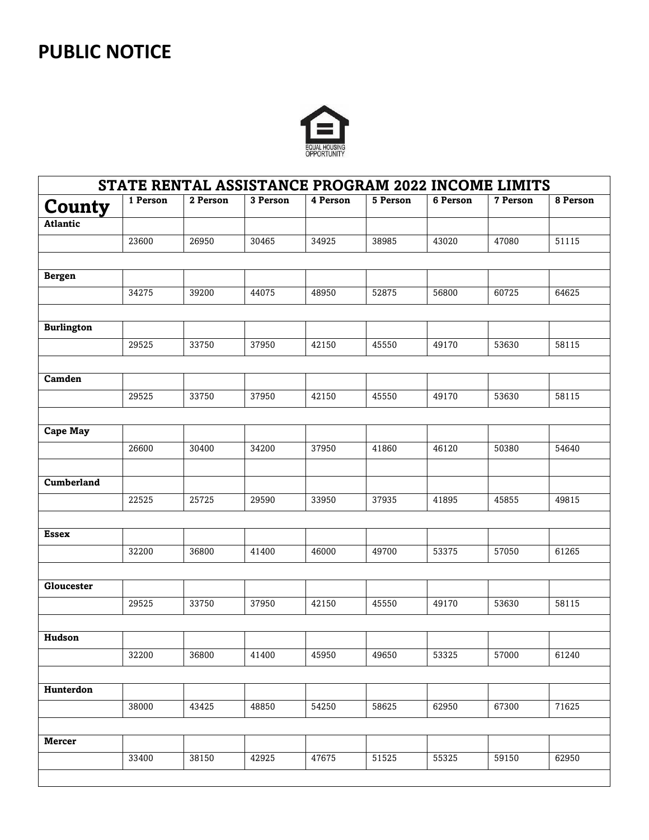## **PUBLIC NOTICE**



| STATE RENTAL ASSISTANCE PROGRAM 2022 INCOME LIMITS |          |          |          |          |          |          |          |          |
|----------------------------------------------------|----------|----------|----------|----------|----------|----------|----------|----------|
| County                                             | 1 Person | 2 Person | 3 Person | 4 Person | 5 Person | 6 Person | 7 Person | 8 Person |
| <b>Atlantic</b>                                    |          |          |          |          |          |          |          |          |
|                                                    | 23600    | 26950    | 30465    | 34925    | 38985    | 43020    | 47080    | 51115    |
|                                                    |          |          |          |          |          |          |          |          |
| <b>Bergen</b>                                      |          |          |          |          |          |          |          |          |
|                                                    | 34275    | 39200    | 44075    | 48950    | 52875    | 56800    | 60725    | 64625    |
|                                                    |          |          |          |          |          |          |          |          |
| <b>Burlington</b>                                  |          |          |          |          |          |          |          |          |
|                                                    | 29525    | 33750    | 37950    | 42150    | 45550    | 49170    | 53630    | 58115    |
|                                                    |          |          |          |          |          |          |          |          |
| Camden                                             |          |          |          |          |          |          |          |          |
|                                                    | 29525    | 33750    | 37950    | 42150    | 45550    | 49170    | 53630    | 58115    |
|                                                    |          |          |          |          |          |          |          |          |
| <b>Cape May</b>                                    |          |          |          |          |          |          |          |          |
|                                                    | 26600    | 30400    | 34200    | 37950    | 41860    | 46120    | 50380    | 54640    |
|                                                    |          |          |          |          |          |          |          |          |
| Cumberland                                         |          |          |          |          |          |          |          |          |
|                                                    | 22525    | 25725    | 29590    | 33950    | 37935    | 41895    | 45855    | 49815    |
|                                                    |          |          |          |          |          |          |          |          |
| Essex                                              |          |          |          |          |          |          |          |          |
|                                                    | 32200    | 36800    | 41400    | 46000    | 49700    | 53375    | 57050    | 61265    |
|                                                    |          |          |          |          |          |          |          |          |
| Gloucester                                         |          |          |          |          |          |          |          |          |
|                                                    | 29525    | 33750    | 37950    | 42150    | 45550    | 49170    | 53630    | 58115    |
|                                                    |          |          |          |          |          |          |          |          |
| Hudson                                             |          |          |          |          |          |          |          |          |
|                                                    | 32200    | 36800    | 41400    | 45950    | 49650    | 53325    | 57000    | 61240    |
|                                                    |          |          |          |          |          |          |          |          |
| Hunterdon                                          |          |          |          |          |          |          |          |          |
|                                                    | 38000    | 43425    | 48850    | 54250    | 58625    | 62950    | 67300    | 71625    |
|                                                    |          |          |          |          |          |          |          |          |
|                                                    |          |          |          |          |          |          |          |          |
| Mercer                                             |          |          |          |          |          |          |          |          |
|                                                    | 33400    | 38150    | 42925    | 47675    | 51525    | 55325    | 59150    | 62950    |
|                                                    |          |          |          |          |          |          |          |          |